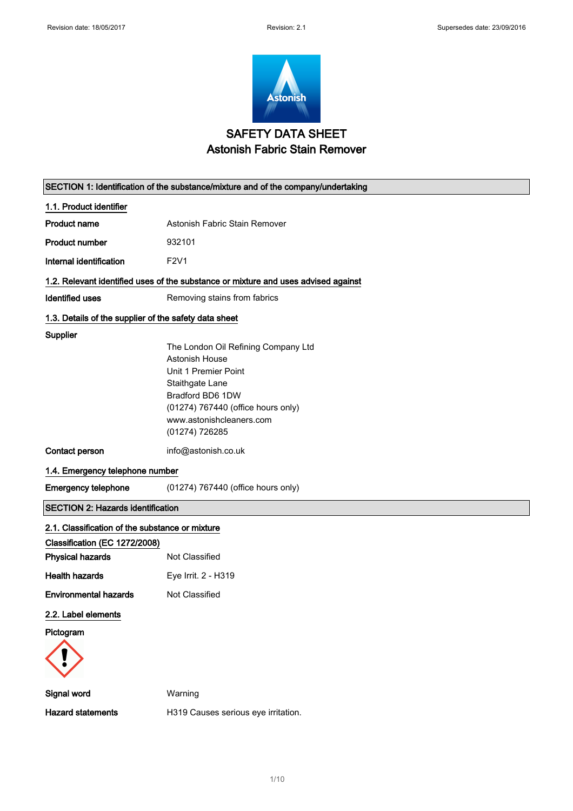$\overline{\phantom{0}}$ 



# SAFETY DATA SHEET Astonish Fabric Stain Remover

| SECTION 1: Identification of the substance/mixture and of the company/undertaking |                                                                                    |  |
|-----------------------------------------------------------------------------------|------------------------------------------------------------------------------------|--|
| 1.1. Product identifier                                                           |                                                                                    |  |
| <b>Product name</b>                                                               | Astonish Fabric Stain Remover                                                      |  |
| <b>Product number</b>                                                             | 932101                                                                             |  |
| Internal identification                                                           | F2V1                                                                               |  |
|                                                                                   | 1.2. Relevant identified uses of the substance or mixture and uses advised against |  |
| <b>Identified uses</b>                                                            | Removing stains from fabrics                                                       |  |
| 1.3. Details of the supplier of the safety data sheet                             |                                                                                    |  |
| Supplier                                                                          |                                                                                    |  |
|                                                                                   | The London Oil Refining Company Ltd                                                |  |
|                                                                                   | Astonish House                                                                     |  |
|                                                                                   | Unit 1 Premier Point                                                               |  |
|                                                                                   | Staithgate Lane<br>Bradford BD6 1DW                                                |  |
|                                                                                   | (01274) 767440 (office hours only)                                                 |  |
|                                                                                   | www.astonishcleaners.com                                                           |  |
|                                                                                   | (01274) 726285                                                                     |  |
| Contact person                                                                    | info@astonish.co.uk                                                                |  |
| 1.4. Emergency telephone number                                                   |                                                                                    |  |
| <b>Emergency telephone</b>                                                        | (01274) 767440 (office hours only)                                                 |  |
| <b>SECTION 2: Hazards identification</b>                                          |                                                                                    |  |
| 2.1. Classification of the substance or mixture                                   |                                                                                    |  |
| Classification (EC 1272/2008)                                                     |                                                                                    |  |
| <b>Physical hazards</b>                                                           | Not Classified                                                                     |  |
| <b>Health hazards</b>                                                             | Eye Irrit. 2 - H319                                                                |  |
| <b>Environmental hazards</b>                                                      | Not Classified                                                                     |  |
| 2.2. Label elements                                                               |                                                                                    |  |
| Pictogram                                                                         |                                                                                    |  |
|                                                                                   |                                                                                    |  |
| Signal word                                                                       | Warning                                                                            |  |
| <b>Hazard statements</b>                                                          | H319 Causes serious eye irritation.                                                |  |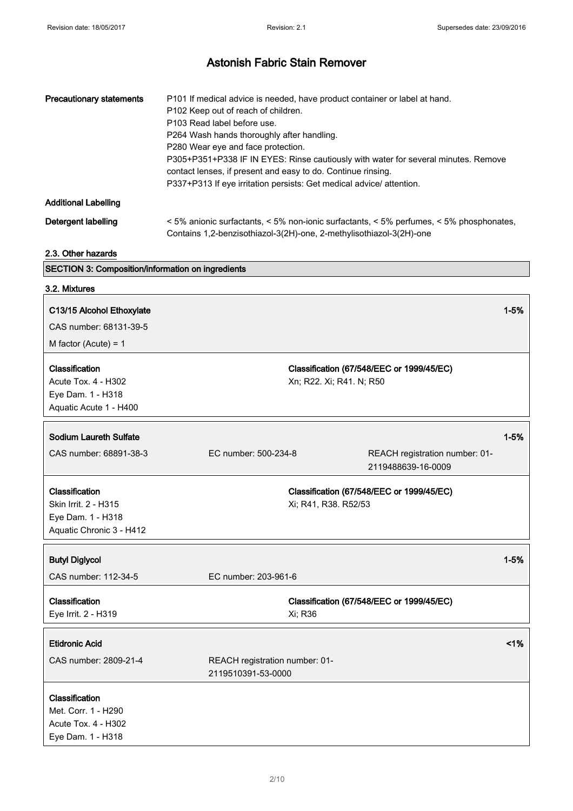| <b>Precautionary statements</b> | P101 If medical advice is needed, have product container or label at hand.<br>P <sub>102</sub> Keep out of reach of children.<br>P103 Read label before use.<br>P264 Wash hands thoroughly after handling.<br>P280 Wear eye and face protection.<br>P305+P351+P338 IF IN EYES: Rinse cautiously with water for several minutes. Remove<br>contact lenses, if present and easy to do. Continue rinsing.<br>P337+P313 If eye irritation persists: Get medical advice/attention. |
|---------------------------------|-------------------------------------------------------------------------------------------------------------------------------------------------------------------------------------------------------------------------------------------------------------------------------------------------------------------------------------------------------------------------------------------------------------------------------------------------------------------------------|
| <b>Additional Labelling</b>     |                                                                                                                                                                                                                                                                                                                                                                                                                                                                               |
| Detergent labelling             | $\leq$ 5% anionic surfactants, $\leq$ 5% non-ionic surfactants, $\leq$ 5% perfumes, $\leq$ 5% phosphonates,<br>Contains 1,2-benzisothiazol-3(2H)-one, 2-methylisothiazol-3(2H)-one                                                                                                                                                                                                                                                                                            |

2.3. Other hazards

# SECTION 3: Composition/information on ingredients

| 3.2. Mixtures                                                                           |                                                      |                          |                                                      |          |
|-----------------------------------------------------------------------------------------|------------------------------------------------------|--------------------------|------------------------------------------------------|----------|
| C13/15 Alcohol Ethoxylate<br>CAS number: 68131-39-5<br>M factor (Acute) = $1$           |                                                      |                          |                                                      | $1 - 5%$ |
| Classification<br>Acute Tox. 4 - H302<br>Eye Dam. 1 - H318<br>Aquatic Acute 1 - H400    |                                                      | Xn; R22. Xi; R41. N; R50 | Classification (67/548/EEC or 1999/45/EC)            |          |
| <b>Sodium Laureth Sulfate</b>                                                           |                                                      |                          |                                                      | $1 - 5%$ |
| CAS number: 68891-38-3                                                                  | EC number: 500-234-8                                 |                          | REACH registration number: 01-<br>2119488639-16-0009 |          |
| Classification<br>Skin Irrit. 2 - H315<br>Eye Dam. 1 - H318<br>Aquatic Chronic 3 - H412 |                                                      | Xi; R41, R38. R52/53     | Classification (67/548/EEC or 1999/45/EC)            |          |
| <b>Butyl Diglycol</b>                                                                   |                                                      |                          |                                                      | $1 - 5%$ |
| CAS number: 112-34-5                                                                    | EC number: 203-961-6                                 |                          |                                                      |          |
| Classification<br>Eye Irrit. 2 - H319                                                   |                                                      | Xi; R36                  | Classification (67/548/EEC or 1999/45/EC)            |          |
| <b>Etidronic Acid</b>                                                                   |                                                      |                          |                                                      | 1%       |
| CAS number: 2809-21-4                                                                   | REACH registration number: 01-<br>2119510391-53-0000 |                          |                                                      |          |
| Classification<br>Met. Corr. 1 - H290<br>Acute Tox. 4 - H302<br>Eye Dam. 1 - H318       |                                                      |                          |                                                      |          |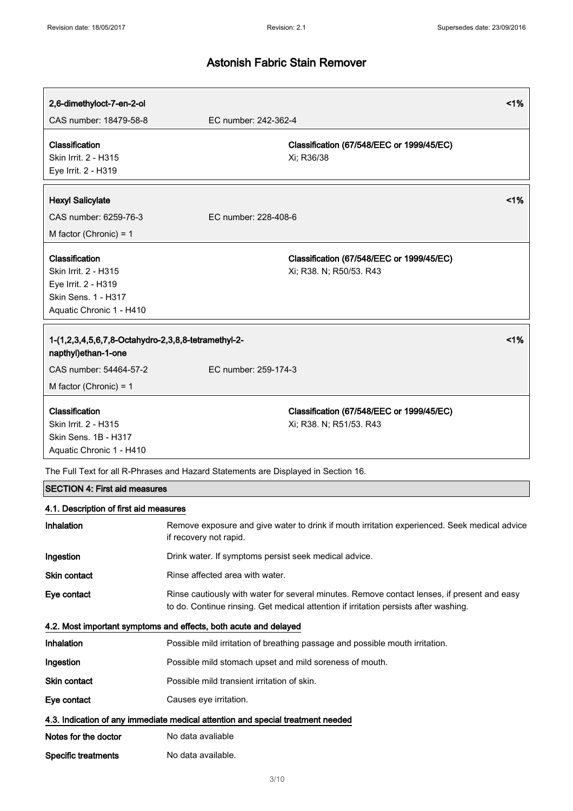| 2,6-dimethyloct-7-en-2-ol                                                                  | 1%                                                                                                                                                                                  |  |
|--------------------------------------------------------------------------------------------|-------------------------------------------------------------------------------------------------------------------------------------------------------------------------------------|--|
| CAS number: 18479-58-8                                                                     | EC number: 242-362-4                                                                                                                                                                |  |
| Classification<br>Skin Irrit. 2 - H315<br>Eye Irrit. 2 - H319                              | Classification (67/548/EEC or 1999/45/EC)<br>Xi; R36/38                                                                                                                             |  |
|                                                                                            | 1%                                                                                                                                                                                  |  |
| <b>Hexyl Salicylate</b><br>CAS number: 6259-76-3                                           | EC number: 228-408-6                                                                                                                                                                |  |
| M factor (Chronic) = $1$                                                                   |                                                                                                                                                                                     |  |
|                                                                                            |                                                                                                                                                                                     |  |
| Classification                                                                             | Classification (67/548/EEC or 1999/45/EC)                                                                                                                                           |  |
| Skin Irrit. 2 - H315<br>Eye Irrit. 2 - H319                                                | Xi; R38. N; R50/53. R43                                                                                                                                                             |  |
| Skin Sens. 1 - H317                                                                        |                                                                                                                                                                                     |  |
| Aquatic Chronic 1 - H410                                                                   |                                                                                                                                                                                     |  |
| 1%<br>1-(1,2,3,4,5,6,7,8-Octahydro-2,3,8,8-tetramethyl-2-<br>napthyl)ethan-1-one           |                                                                                                                                                                                     |  |
| CAS number: 54464-57-2                                                                     | EC number: 259-174-3                                                                                                                                                                |  |
| M factor (Chronic) = $1$                                                                   |                                                                                                                                                                                     |  |
| Classification<br>Skin Irrit. 2 - H315<br>Skin Sens, 1B - H317<br>Aquatic Chronic 1 - H410 | Classification (67/548/EEC or 1999/45/EC)<br>Xi; R38. N; R51/53. R43                                                                                                                |  |
| The Full Text for all R-Phrases and Hazard Statements are Displayed in Section 16.         |                                                                                                                                                                                     |  |
| <b>SECTION 4: First aid measures</b>                                                       |                                                                                                                                                                                     |  |
| 4.1. Description of first aid measures                                                     |                                                                                                                                                                                     |  |
| Inhalation                                                                                 | Remove exposure and give water to drink if mouth irritation experienced. Seek medical advice<br>if recovery not rapid.                                                              |  |
| Ingestion                                                                                  | Drink water. If symptoms persist seek medical advice.                                                                                                                               |  |
| Skin contact                                                                               | Rinse affected area with water.                                                                                                                                                     |  |
| Eye contact                                                                                | Rinse cautiously with water for several minutes. Remove contact lenses, if present and easy<br>to do. Continue rinsing. Get medical attention if irritation persists after washing. |  |
| 4.2. Most important symptoms and effects, both acute and delayed                           |                                                                                                                                                                                     |  |
| Inhalation                                                                                 | Possible mild irritation of breathing passage and possible mouth irritation.                                                                                                        |  |
| Ingestion                                                                                  | Possible mild stomach upset and mild soreness of mouth.                                                                                                                             |  |
| Skin contact                                                                               | Possible mild transient irritation of skin.                                                                                                                                         |  |
| Eye contact                                                                                | Causes eye irritation.                                                                                                                                                              |  |
| 4.3. Indication of any immediate medical attention and special treatment needed            |                                                                                                                                                                                     |  |
| Notes for the doctor                                                                       | No data avaliable                                                                                                                                                                   |  |
| <b>Specific treatments</b>                                                                 | No data available.                                                                                                                                                                  |  |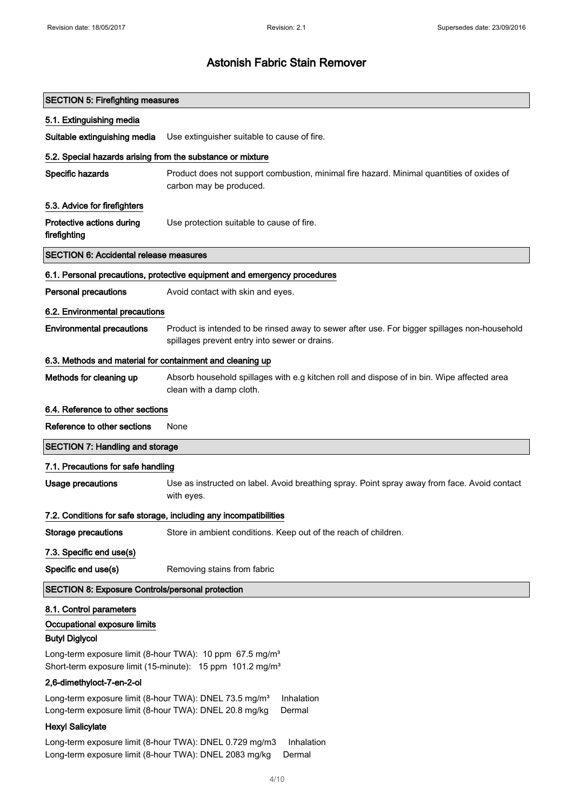| <b>SECTION 5: Firefighting measures</b>                                                                                                              |                                                                                                                                               |  |
|------------------------------------------------------------------------------------------------------------------------------------------------------|-----------------------------------------------------------------------------------------------------------------------------------------------|--|
| 5.1. Extinguishing media                                                                                                                             |                                                                                                                                               |  |
| Suitable extinguishing media                                                                                                                         | Use extinguisher suitable to cause of fire.                                                                                                   |  |
| 5.2. Special hazards arising from the substance or mixture                                                                                           |                                                                                                                                               |  |
| Specific hazards                                                                                                                                     | Product does not support combustion, minimal fire hazard. Minimal quantities of oxides of<br>carbon may be produced.                          |  |
| 5.3. Advice for firefighters                                                                                                                         |                                                                                                                                               |  |
| Protective actions during<br>firefighting                                                                                                            | Use protection suitable to cause of fire.                                                                                                     |  |
| <b>SECTION 6: Accidental release measures</b>                                                                                                        |                                                                                                                                               |  |
|                                                                                                                                                      | 6.1. Personal precautions, protective equipment and emergency procedures                                                                      |  |
| <b>Personal precautions</b>                                                                                                                          | Avoid contact with skin and eyes.                                                                                                             |  |
| 6.2. Environmental precautions                                                                                                                       |                                                                                                                                               |  |
| <b>Environmental precautions</b>                                                                                                                     | Product is intended to be rinsed away to sewer after use. For bigger spillages non-household<br>spillages prevent entry into sewer or drains. |  |
| 6.3. Methods and material for containment and cleaning up                                                                                            |                                                                                                                                               |  |
| Methods for cleaning up                                                                                                                              | Absorb household spillages with e.g kitchen roll and dispose of in bin. Wipe affected area<br>clean with a damp cloth.                        |  |
| 6.4. Reference to other sections                                                                                                                     |                                                                                                                                               |  |
| Reference to other sections                                                                                                                          | None                                                                                                                                          |  |
| <b>SECTION 7: Handling and storage</b>                                                                                                               |                                                                                                                                               |  |
| 7.1. Precautions for safe handling                                                                                                                   |                                                                                                                                               |  |
| <b>Usage precautions</b>                                                                                                                             | Use as instructed on label. Avoid breathing spray. Point spray away from face. Avoid contact<br>with eyes.                                    |  |
|                                                                                                                                                      | 7.2. Conditions for safe storage, including any incompatibilities                                                                             |  |
| <b>Storage precautions</b>                                                                                                                           | Store in ambient conditions. Keep out of the reach of children.                                                                               |  |
| 7.3. Specific end use(s)                                                                                                                             |                                                                                                                                               |  |
| Specific end use(s)                                                                                                                                  | Removing stains from fabric                                                                                                                   |  |
| <b>SECTION 8: Exposure Controls/personal protection</b>                                                                                              |                                                                                                                                               |  |
| 8.1. Control parameters<br>Occupational exposure limits<br><b>Butyl Diglycol</b>                                                                     |                                                                                                                                               |  |
| Long-term exposure limit (8-hour TWA): 10 ppm 67.5 mg/m <sup>3</sup><br>Short-term exposure limit (15-minute): 15 ppm 101.2 mg/m <sup>3</sup>        |                                                                                                                                               |  |
| 2,6-dimethyloct-7-en-2-ol                                                                                                                            |                                                                                                                                               |  |
| Long-term exposure limit (8-hour TWA): DNEL 73.5 mg/m <sup>3</sup><br>Inhalation<br>Long-term exposure limit (8-hour TWA): DNEL 20.8 mg/kg<br>Dermal |                                                                                                                                               |  |
| <b>Hexyl Salicylate</b>                                                                                                                              |                                                                                                                                               |  |
| Long-term exposure limit (8-hour TWA): DNEL 0.729 mg/m3<br>Inhalation<br>Long-term exposure limit (8-hour TWA): DNEL 2083 mg/kg<br>Dermal            |                                                                                                                                               |  |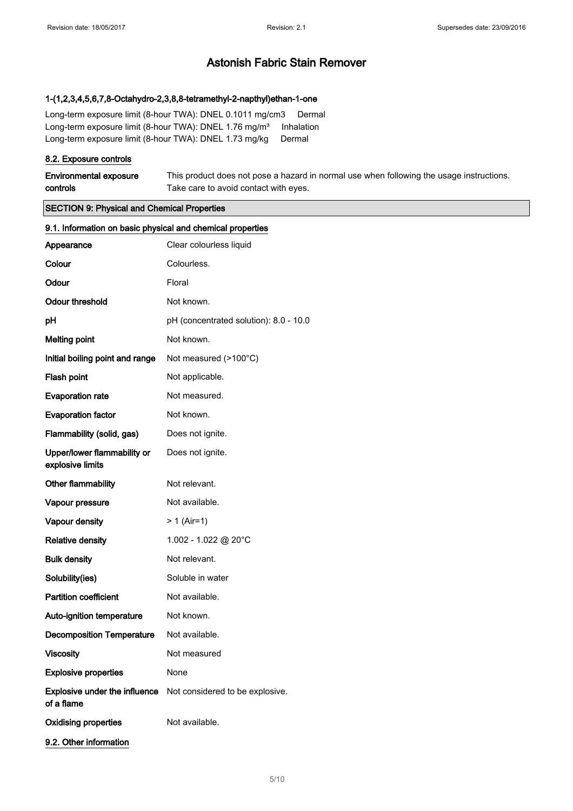#### 1-(1,2,3,4,5,6,7,8-Octahydro-2,3,8,8-tetramethyl-2-napthyl)ethan-1-one

Long-term exposure limit (8-hour TWA): DNEL 0.1011 mg/cm3 Dermal Long-term exposure limit (8-hour TWA): DNEL 1.76 mg/m<sup>3</sup> Inhalation Long-term exposure limit (8-hour TWA): DNEL 1.73 mg/kg Dermal

#### 8.2. Exposure controls

| <b>Environmental exposure</b> | This product does not pose a hazard in normal use when following the usage instructions. |
|-------------------------------|------------------------------------------------------------------------------------------|
| controls                      | Take care to avoid contact with eyes.                                                    |

### SECTION 9: Physical and Chemical Properties

| 9.1. Information on basic physical and chemical properties |                                        |  |
|------------------------------------------------------------|----------------------------------------|--|
| Appearance                                                 | Clear colourless liquid                |  |
| Colour                                                     | Colourless.                            |  |
| Odour                                                      | Floral                                 |  |
| <b>Odour threshold</b>                                     | Not known.                             |  |
| pH                                                         | pH (concentrated solution): 8.0 - 10.0 |  |
| <b>Melting point</b>                                       | Not known.                             |  |
| Initial boiling point and range                            | Not measured (>100°C)                  |  |
| Flash point                                                | Not applicable.                        |  |
| <b>Evaporation rate</b>                                    | Not measured.                          |  |
| <b>Evaporation factor</b>                                  | Not known.                             |  |
| Flammability (solid, gas)                                  | Does not ignite.                       |  |
| Upper/lower flammability or<br>explosive limits            | Does not ignite.                       |  |
| Other flammability                                         | Not relevant.                          |  |
| Vapour pressure                                            | Not available.                         |  |
| Vapour density                                             | $> 1$ (Air=1)                          |  |
| <b>Relative density</b>                                    | 1.002 - 1.022 @ 20°C                   |  |
| <b>Bulk density</b>                                        | Not relevant.                          |  |
| Solubility(ies)                                            | Soluble in water                       |  |
| <b>Partition coefficient</b>                               | Not available.                         |  |
| Auto-ignition temperature                                  | Not known.                             |  |
| <b>Decomposition Temperature</b>                           | Not available.                         |  |
| <b>Viscosity</b>                                           | Not measured                           |  |
| <b>Explosive properties</b>                                | None                                   |  |
| Explosive under the influence<br>of a flame                | Not considered to be explosive.        |  |
| <b>Oxidising properties</b>                                | Not available.                         |  |
| 9.2. Other information                                     |                                        |  |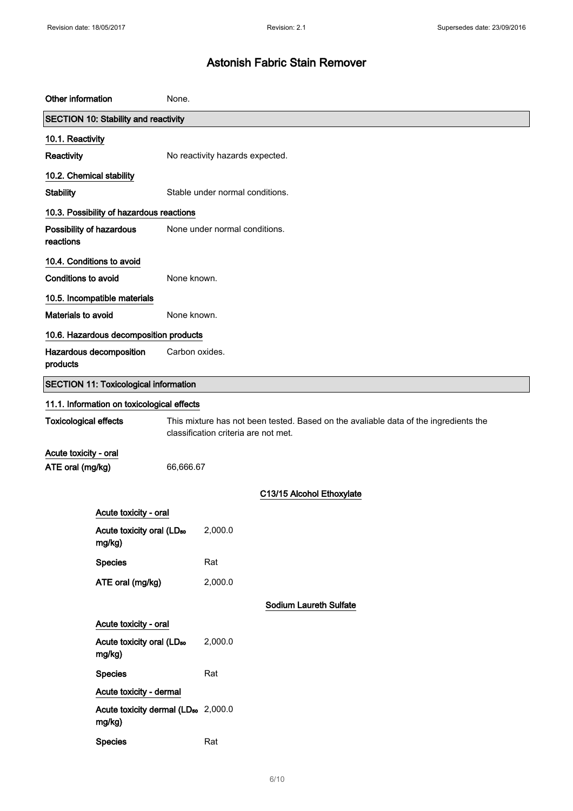| Other information                                                                                                                                            | None.                                                     |                                 |  |
|--------------------------------------------------------------------------------------------------------------------------------------------------------------|-----------------------------------------------------------|---------------------------------|--|
| <b>SECTION 10: Stability and reactivity</b>                                                                                                                  |                                                           |                                 |  |
| 10.1. Reactivity                                                                                                                                             |                                                           |                                 |  |
| Reactivity                                                                                                                                                   |                                                           | No reactivity hazards expected. |  |
| 10.2. Chemical stability                                                                                                                                     |                                                           |                                 |  |
| <b>Stability</b>                                                                                                                                             |                                                           | Stable under normal conditions. |  |
|                                                                                                                                                              | 10.3. Possibility of hazardous reactions                  |                                 |  |
| reactions                                                                                                                                                    | None under normal conditions.<br>Possibility of hazardous |                                 |  |
| 10.4. Conditions to avoid                                                                                                                                    |                                                           |                                 |  |
| <b>Conditions to avoid</b>                                                                                                                                   |                                                           | None known.                     |  |
|                                                                                                                                                              | 10.5. Incompatible materials                              |                                 |  |
| Materials to avoid                                                                                                                                           |                                                           | None known.                     |  |
|                                                                                                                                                              | 10.6. Hazardous decomposition products                    |                                 |  |
| products                                                                                                                                                     | Hazardous decomposition<br>Carbon oxides.                 |                                 |  |
|                                                                                                                                                              | <b>SECTION 11: Toxicological information</b>              |                                 |  |
|                                                                                                                                                              | 11.1. Information on toxicological effects                |                                 |  |
| <b>Toxicological effects</b><br>This mixture has not been tested. Based on the avaliable data of the ingredients the<br>classification criteria are not met. |                                                           |                                 |  |
| Acute toxicity - oral                                                                                                                                        |                                                           |                                 |  |
| ATE oral (mg/kg)                                                                                                                                             |                                                           | 66,666.67                       |  |
|                                                                                                                                                              |                                                           | C13/15 Alcohol Ethoxylate       |  |
|                                                                                                                                                              | Acute toxicity - oral                                     |                                 |  |
|                                                                                                                                                              | Acute toxicity oral (LD <sub>50</sub><br>mg/kg)           | 2,000.0                         |  |
|                                                                                                                                                              | <b>Species</b>                                            | Rat                             |  |
|                                                                                                                                                              | ATE oral (mg/kg)                                          | 2,000.0                         |  |
|                                                                                                                                                              |                                                           | <b>Sodium Laureth Sulfate</b>   |  |
| Acute toxicity - oral                                                                                                                                        |                                                           |                                 |  |
|                                                                                                                                                              | Acute toxicity oral (LD <sub>50</sub><br>mg/kg)           | 2,000.0                         |  |
|                                                                                                                                                              | <b>Species</b>                                            | Rat                             |  |
|                                                                                                                                                              | Acute toxicity - dermal                                   |                                 |  |
|                                                                                                                                                              | Acute toxicity dermal (LD <sub>50</sub> 2,000.0<br>mg/kg) |                                 |  |
|                                                                                                                                                              | <b>Species</b>                                            | Rat                             |  |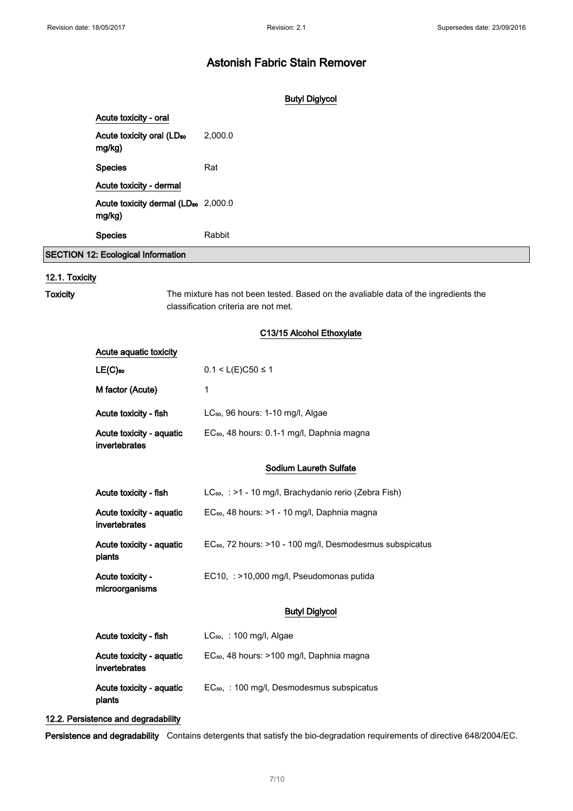### Butyl Diglycol

| Acute toxicity - oral                                     |         |
|-----------------------------------------------------------|---------|
| Acute toxicity oral (LD <sub>50</sub><br>mg/kg)           | 2,000.0 |
| <b>Species</b>                                            | Rat     |
| Acute toxicity - dermal                                   |         |
| Acute toxicity dermal (LD <sub>50</sub> 2,000.0<br>mg/kg) |         |
| <b>Species</b>                                            | Rabbit  |
| <b>SECTION 12: Ecological Information</b>                 |         |

# 12.1. Toxicity

Toxicity The mixture has not been tested. Based on the avaliable data of the ingredients the classification criteria are not met.

### C13/15 Alcohol Ethoxylate

| Acute aquatic toxicity                    |                                                                      |
|-------------------------------------------|----------------------------------------------------------------------|
| $LE(C)$ <sub>50</sub>                     | $0.1 < L(E)$ C50 ≤ 1                                                 |
| M factor (Acute)                          | 1                                                                    |
| Acute toxicity - fish                     | LC <sub>50</sub> , 96 hours: 1-10 mg/l, Algae                        |
| Acute toxicity - aquatic<br>invertebrates | EC <sub>50</sub> , 48 hours: 0.1-1 mg/l, Daphnia magna               |
|                                           | <b>Sodium Laureth Sulfate</b>                                        |
| Acute toxicity - fish                     | LC <sub>50</sub> , : >1 - 10 mg/l, Brachydanio rerio (Zebra Fish)    |
| Acute toxicity - aquatic<br>invertebrates | EC <sub>50</sub> , 48 hours: >1 - 10 mg/l, Daphnia magna             |
| Acute toxicity - aquatic<br>plants        | EC <sub>50</sub> , 72 hours: >10 - 100 mg/l, Desmodesmus subspicatus |
| Acute toxicity -<br>microorganisms        | EC10, : >10,000 mg/l, Pseudomonas putida                             |
|                                           | <b>Butyl Diglycol</b>                                                |
| Acute toxicity - fish                     | $LC_{50}$ , : 100 mg/l, Algae                                        |
| Acute toxicity - aquatic<br>invertebrates | EC <sub>50</sub> , 48 hours: >100 mg/l, Daphnia magna                |
| Acute toxicity - aquatic<br>plants        | EC <sub>50</sub> , : 100 mg/l, Desmodesmus subspicatus               |

#### 12.2. Persistence and degradability

Persistence and degradability Contains detergents that satisfy the bio-degradation requirements of directive 648/2004/EC.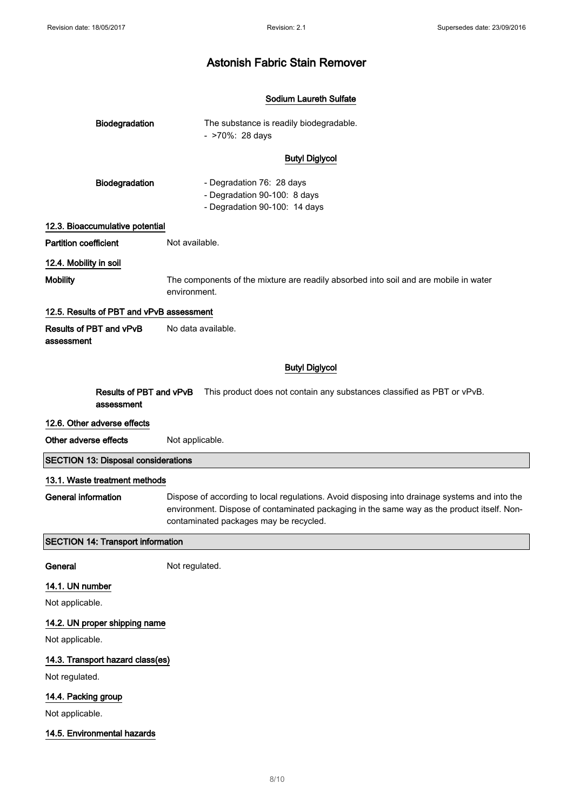#### Sodium Laureth Sulfate

| <b>Biodegradation</b> | The substance is readily biodegradable.<br>- >70%: 28 days |  |
|-----------------------|------------------------------------------------------------|--|
|                       | <b>Butyl Diglycol</b>                                      |  |
| <b>Diodogradation</b> | Dogradation 76: 28 dave                                    |  |

| <b>Biodegradation</b> | - Degradation 76: 28 days     |
|-----------------------|-------------------------------|
|                       | - Degradation 90-100: 8 days  |
|                       | - Degradation 90-100: 14 days |

#### 12.3. Bioaccumulative potential

Partition coefficient Not available.

# 12.4. Mobility in soil

Mobility The components of the mixture are readily absorbed into soil and are mobile in water environment.

#### 12.5. Results of PBT and vPvB assessment

Results of PBT and vPvB assessment No data available.

### Butyl Diglycol

Results of PBT and vPvB assessment This product does not contain any substances classified as PBT or vPvB.

#### 12.6. Other adverse effects

Other adverse effects Not applicable.

# SECTION 13: Disposal considerations

## 13.1. Waste treatment methods

General information Dispose of according to local regulations. Avoid disposing into drainage systems and into the environment. Dispose of contaminated packaging in the same way as the product itself. Noncontaminated packages may be recycled.

### SECTION 14: Transport information

General Not regulated.

### 14.1. UN number

Not applicable.

## 14.2. UN proper shipping name

Not applicable.

### 14.3. Transport hazard class(es)

Not regulated.

# 14.4. Packing group

Not applicable.

### 14.5. Environmental hazards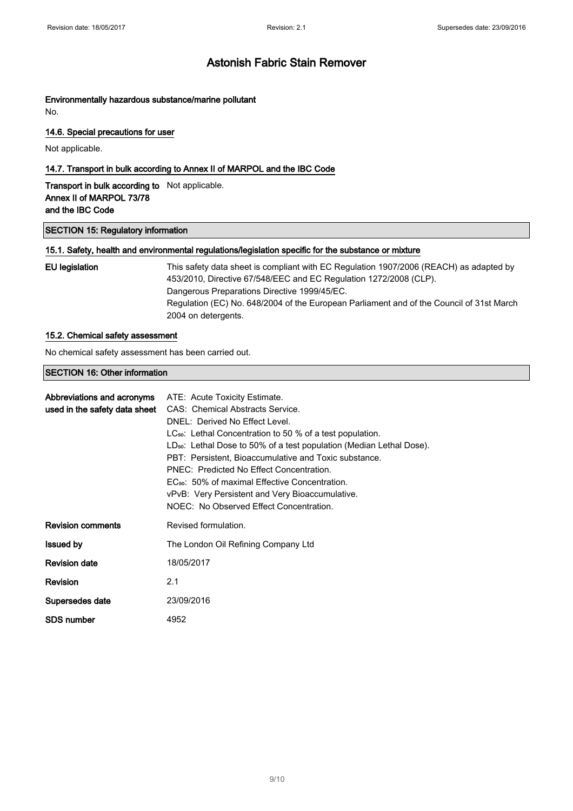# Environmentally hazardous substance/marine pollutant

No.

#### 14.6. Special precautions for user

Not applicable.

### 14.7. Transport in bulk according to Annex II of MARPOL and the IBC Code

Transport in bulk according to Not applicable. Annex II of MARPOL 73/78 and the IBC Code

#### SECTION 15: Regulatory information

#### 15.1. Safety, health and environmental regulations/legislation specific for the substance or mixture

| EU legislation | This safety data sheet is compliant with EC Regulation 1907/2006 (REACH) as adapted by<br>453/2010, Directive 67/548/EEC and EC Regulation 1272/2008 (CLP). |
|----------------|-------------------------------------------------------------------------------------------------------------------------------------------------------------|
|                | Dangerous Preparations Directive 1999/45/EC.                                                                                                                |
|                | Regulation (EC) No. 648/2004 of the European Parliament and of the Council of 31st March<br>2004 on detergents.                                             |

#### 15.2. Chemical safety assessment

No chemical safety assessment has been carried out.

#### SECTION 16: Other information

|                          | <b>Abbreviations and acronyms</b> ATE: Acute Toxicity Estimate.<br>used in the safety data sheet CAS: Chemical Abstracts Service.<br>DNEL: Derived No Effect Level.<br>$LC_{50}$ : Lethal Concentration to 50 % of a test population.<br>$LD_{50}$ : Lethal Dose to 50% of a test population (Median Lethal Dose).<br>PBT: Persistent, Bioaccumulative and Toxic substance.<br>PNEC: Predicted No Effect Concentration.<br>EC <sub>50</sub> : 50% of maximal Effective Concentration.<br>vPvB: Very Persistent and Very Bioaccumulative.<br>NOEC: No Observed Effect Concentration. |
|--------------------------|-------------------------------------------------------------------------------------------------------------------------------------------------------------------------------------------------------------------------------------------------------------------------------------------------------------------------------------------------------------------------------------------------------------------------------------------------------------------------------------------------------------------------------------------------------------------------------------|
| <b>Revision comments</b> | Revised formulation.                                                                                                                                                                                                                                                                                                                                                                                                                                                                                                                                                                |
| <b>Issued by</b>         | The London Oil Refining Company Ltd                                                                                                                                                                                                                                                                                                                                                                                                                                                                                                                                                 |
| <b>Revision date</b>     | 18/05/2017                                                                                                                                                                                                                                                                                                                                                                                                                                                                                                                                                                          |
| <b>Revision</b>          | 2.1                                                                                                                                                                                                                                                                                                                                                                                                                                                                                                                                                                                 |
| Supersedes date          | 23/09/2016                                                                                                                                                                                                                                                                                                                                                                                                                                                                                                                                                                          |
| SDS number               | 4952                                                                                                                                                                                                                                                                                                                                                                                                                                                                                                                                                                                |